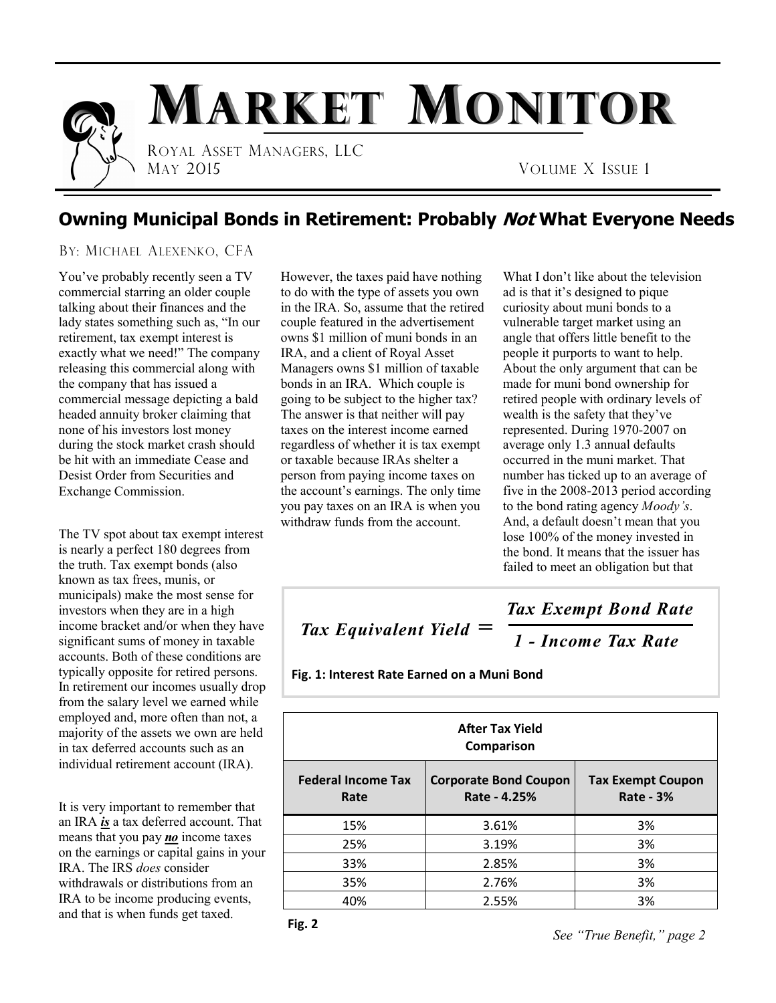

### **Owning Municipal Bonds in Retirement: Probably Not What Everyone Needs**

#### BY: MICHAEL ALEXENKO, CFA

You've probably recently seen a TV commercial starring an older couple talking about their finances and the lady states something such as, "In our retirement, tax exempt interest is exactly what we need!" The company releasing this commercial along with the company that has issued a commercial message depicting a bald headed annuity broker claiming that none of his investors lost money during the stock market crash should be hit with an immediate Cease and Desist Order from Securities and Exchange Commission.

The TV spot about tax exempt interest is nearly a perfect 180 degrees from the truth. Tax exempt bonds (also known as tax frees, munis, or municipals) make the most sense for investors when they are in a high income bracket and/or when they have significant sums of money in taxable accounts. Both of these conditions are typically opposite for retired persons. In retirement our incomes usually drop from the salary level we earned while employed and, more often than not, a majority of the assets we own are held in tax deferred accounts such as an individual retirement account (IRA).

It is very important to remember that an IRA *is* a tax deferred account. That means that you pay *no* income taxes on the earnings or capital gains in your IRA. The IRS *does* consider withdrawals or distributions from an IRA to be income producing events, and that is when funds get taxed.

However, the taxes paid have nothing to do with the type of assets you own in the IRA. So, assume that the retired couple featured in the advertisement owns \$1 million of muni bonds in an IRA, and a client of Royal Asset Managers owns \$1 million of taxable bonds in an IRA. Which couple is going to be subject to the higher tax? The answer is that neither will pay taxes on the interest income earned regardless of whether it is tax exempt or taxable because IRAs shelter a person from paying income taxes on the account's earnings. The only time you pay taxes on an IRA is when you withdraw funds from the account.

What I don't like about the television ad is that it's designed to pique curiosity about muni bonds to a vulnerable target market using an angle that offers little benefit to the people it purports to want to help. About the only argument that can be made for muni bond ownership for retired people with ordinary levels of wealth is the safety that they've represented. During 1970-2007 on average only 1.3 annual defaults occurred in the muni market. That number has ticked up to an average of five in the 2008-2013 period according to the bond rating agency *Moody's*. And, a default doesn't mean that you lose 100% of the money invested in the bond. It means that the issuer has failed to meet an obligation but that

# *Tax Equivalent Yield* **=**

*1 - Income Tax Rate*

*Tax Exempt Bond Rate*

**Fig. 1: Interest Rate Earned on a Muni Bond**

| <b>After Tax Yield</b><br>Comparison |                                              |                                              |
|--------------------------------------|----------------------------------------------|----------------------------------------------|
| <b>Federal Income Tax</b><br>Rate    | <b>Corporate Bond Coupon</b><br>Rate - 4.25% | <b>Tax Exempt Coupon</b><br><b>Rate - 3%</b> |
| 15%                                  | 3.61%                                        | 3%                                           |
| 25%                                  | 3.19%                                        | 3%                                           |
| 33%                                  | 2.85%                                        | 3%                                           |
| 35%                                  | 2.76%                                        | 3%                                           |
| 40%                                  | 2.55%                                        | 3%                                           |

*See "True Benefit," page 2*